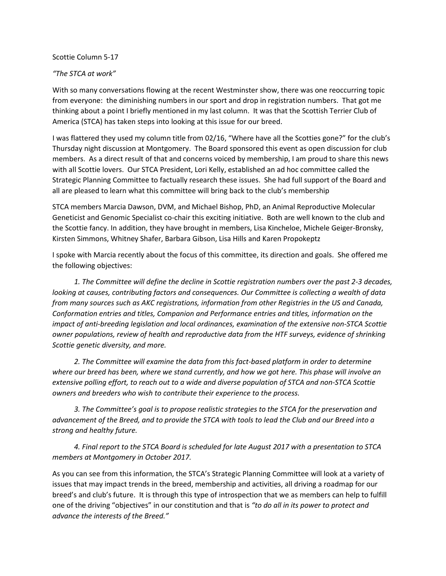## Scottie Column 5-17

## *"The STCA at work"*

With so many conversations flowing at the recent Westminster show, there was one reoccurring topic from everyone: the diminishing numbers in our sport and drop in registration numbers. That got me thinking about a point I briefly mentioned in my last column. It was that the Scottish Terrier Club of America (STCA) has taken steps into looking at this issue for our breed.

I was flattered they used my column title from 02/16, "Where have all the Scotties gone?" for the club's Thursday night discussion at Montgomery. The Board sponsored this event as open discussion for club members. As a direct result of that and concerns voiced by membership, I am proud to share this news with all Scottie lovers. Our STCA President, Lori Kelly, established an ad hoc committee called the Strategic Planning Committee to factually research these issues. She had full support of the Board and all are pleased to learn what this committee will bring back to the club's membership

STCA members Marcia Dawson, DVM, and Michael Bishop, PhD, an Animal Reproductive Molecular Geneticist and Genomic Specialist co-chair this exciting initiative. Both are well known to the club and the Scottie fancy. In addition, they have brought in members, Lisa Kincheloe, Michele Geiger-Bronsky, Kirsten Simmons, Whitney Shafer, Barbara Gibson, Lisa Hills and Karen Propokeptz

I spoke with Marcia recently about the focus of this committee, its direction and goals. She offered me the following objectives:

 *1. The Committee will define the decline in Scottie registration numbers over the past 2-3 decades, looking at causes, contributing factors and consequences. Our Committee is collecting a wealth of data from many sources such as AKC registrations, information from other Registries in the US and Canada, Conformation entries and titles, Companion and Performance entries and titles, information on the impact of anti-breeding legislation and local ordinances, examination of the extensive non-STCA Scottie owner populations, review of health and reproductive data from the HTF surveys, evidence of shrinking Scottie genetic diversity, and more.* 

 *2. The Committee will examine the data from this fact-based platform in order to determine where our breed has been, where we stand currently, and how we got here. This phase will involve an extensive polling effort, to reach out to a wide and diverse population of STCA and non-STCA Scottie owners and breeders who wish to contribute their experience to the process.* 

 *3. The Committee's goal is to propose realistic strategies to the STCA for the preservation and advancement of the Breed, and to provide the STCA with tools to lead the Club and our Breed into a strong and healthy future.*

 *4. Final report to the STCA Board is scheduled for late August 2017 with a presentation to STCA members at Montgomery in October 2017.*

As you can see from this information, the STCA's Strategic Planning Committee will look at a variety of issues that may impact trends in the breed, membership and activities, all driving a roadmap for our breed's and club's future. It is through this type of introspection that we as members can help to fulfill one of the driving "objectives" in our constitution and that is *"to do all in its power to protect and advance the interests of the Breed."*